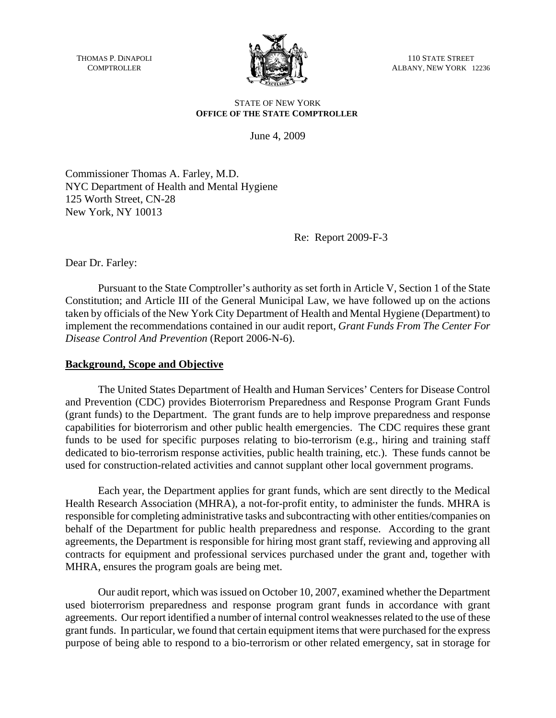THOMAS P. DiNAPOLI **COMPTROLLER** 



110 STATE STREET ALBANY, NEW YORK 12236

#### STATE OF NEW YORK **OFFICE OF THE STATE COMPTROLLER**

June 4, 2009

Commissioner Thomas A. Farley, M.D. NYC Department of Health and Mental Hygiene 125 Worth Street, CN-28 New York, NY 10013

Re: Report 2009-F-3

Dear Dr. Farley:

Pursuant to the State Comptroller's authority as set forth in Article V, Section 1 of the State Constitution; and Article III of the General Municipal Law, we have followed up on the actions taken by officials of the New York City Department of Health and Mental Hygiene (Department) to implement the recommendations contained in our audit report, *Grant Funds From The Center For Disease Control And Prevention* (Report 2006-N-6).

#### **Background, Scope and Objective**

The United States Department of Health and Human Services' Centers for Disease Control and Prevention (CDC) provides Bioterrorism Preparedness and Response Program Grant Funds (grant funds) to the Department. The grant funds are to help improve preparedness and response capabilities for bioterrorism and other public health emergencies. The CDC requires these grant funds to be used for specific purposes relating to bio-terrorism (e.g., hiring and training staff dedicated to bio-terrorism response activities, public health training, etc.). These funds cannot be used for construction-related activities and cannot supplant other local government programs.

Each year, the Department applies for grant funds, which are sent directly to the Medical Health Research Association (MHRA), a not-for-profit entity, to administer the funds. MHRA is responsible for completing administrative tasks and subcontracting with other entities/companies on behalf of the Department for public health preparedness and response. According to the grant agreements, the Department is responsible for hiring most grant staff, reviewing and approving all contracts for equipment and professional services purchased under the grant and, together with MHRA, ensures the program goals are being met.

Our audit report, which was issued on October 10, 2007, examined whether the Department used bioterrorism preparedness and response program grant funds in accordance with grant agreements. Our report identified a number of internal control weaknesses related to the use of these grant funds. In particular, we found that certain equipment items that were purchased for the express purpose of being able to respond to a bio-terrorism or other related emergency, sat in storage for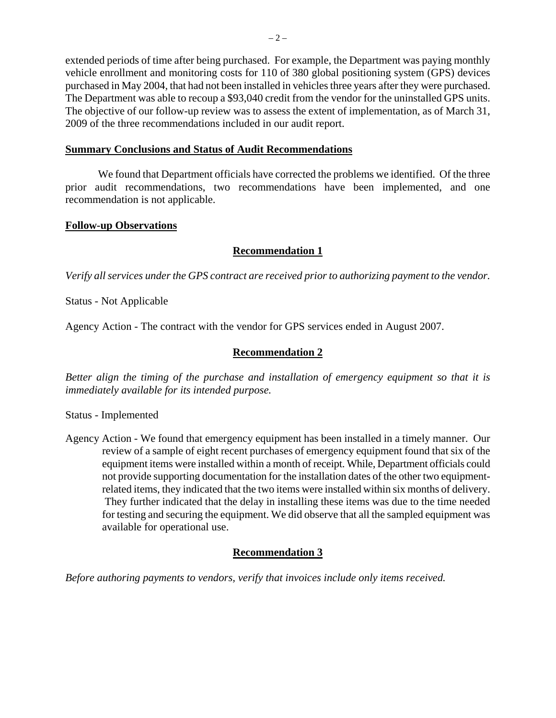extended periods of time after being purchased. For example, the Department was paying monthly vehicle enrollment and monitoring costs for 110 of 380 global positioning system (GPS) devices purchased in May 2004, that had not been installed in vehicles three years after they were purchased. The Department was able to recoup a \$93,040 credit from the vendor for the uninstalled GPS units. The objective of our follow-up review was to assess the extent of implementation, as of March 31, 2009 of the three recommendations included in our audit report.

#### **Summary Conclusions and Status of Audit Recommendations**

We found that Department officials have corrected the problems we identified. Of the three prior audit recommendations, two recommendations have been implemented, and one recommendation is not applicable.

### **Follow-up Observations**

### **Recommendation 1**

*Verify all services under the GPS contract are received prior to authorizing payment to the vendor.* 

Status - Not Applicable

Agency Action - The contract with the vendor for GPS services ended in August 2007.

## **Recommendation 2**

*Better align the timing of the purchase and installation of emergency equipment so that it is immediately available for its intended purpose.* 

Status - Implemented

Agency Action - We found that emergency equipment has been installed in a timely manner. Our review of a sample of eight recent purchases of emergency equipment found that six of the equipment items were installed within a month of receipt. While, Department officials could not provide supporting documentation for the installation dates of the other two equipmentrelated items, they indicated that the two items were installed within six months of delivery. They further indicated that the delay in installing these items was due to the time needed for testing and securing the equipment. We did observe that all the sampled equipment was available for operational use.

# **Recommendation 3**

*Before authoring payments to vendors, verify that invoices include only items received.*